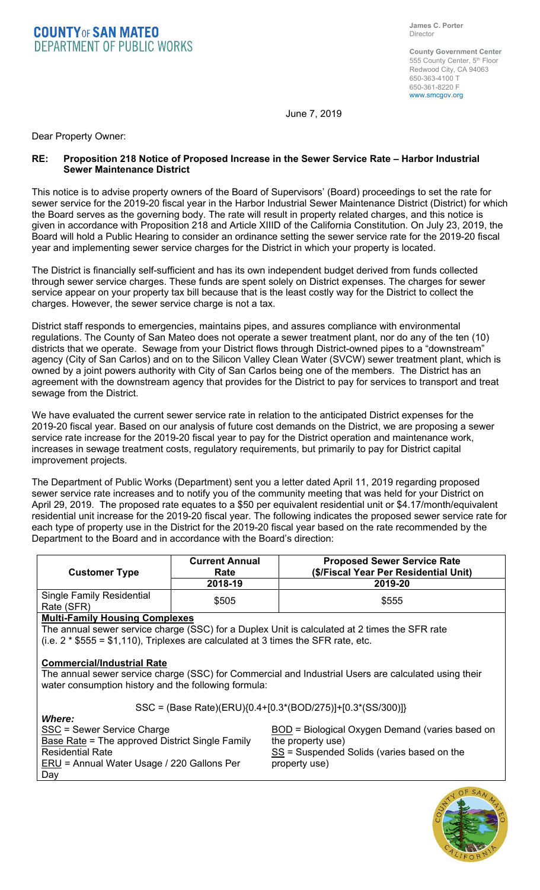## **COUNTY OF SAN MATEO**<br>DEPARTMENT OF PUBLIC WORKS

**County Government Center**  555 County Center, 5th Floor Redwood City, CA 94063 650-363-4100 T 650-361-8220 F www.smcgov.org

June 7, 2019

Dear Property Owner:

## **RE: Proposition 218 Notice of Proposed Increase in the Sewer Service Rate – Harbor Industrial Sewer Maintenance District**

This notice is to advise property owners of the Board of Supervisors' (Board) proceedings to set the rate for sewer service for the 2019-20 fiscal year in the Harbor Industrial Sewer Maintenance District (District) for which the Board serves as the governing body. The rate will result in property related charges, and this notice is given in accordance with Proposition 218 and Article XIIID of the California Constitution. On July 23, 2019, the Board will hold a Public Hearing to consider an ordinance setting the sewer service rate for the 2019-20 fiscal year and implementing sewer service charges for the District in which your property is located.

The District is financially self-sufficient and has its own independent budget derived from funds collected through sewer service charges. These funds are spent solely on District expenses. The charges for sewer service appear on your property tax bill because that is the least costly way for the District to collect the charges. However, the sewer service charge is not a tax.

District staff responds to emergencies, maintains pipes, and assures compliance with environmental regulations. The County of San Mateo does not operate a sewer treatment plant, nor do any of the ten (10) districts that we operate. Sewage from your District flows through District-owned pipes to a "downstream" agency (City of San Carlos) and on to the Silicon Valley Clean Water (SVCW) sewer treatment plant, which is owned by a joint powers authority with City of San Carlos being one of the members. The District has an agreement with the downstream agency that provides for the District to pay for services to transport and treat sewage from the District.

We have evaluated the current sewer service rate in relation to the anticipated District expenses for the 2019-20 fiscal year. Based on our analysis of future cost demands on the District, we are proposing a sewer service rate increase for the 2019-20 fiscal year to pay for the District operation and maintenance work, increases in sewage treatment costs, regulatory requirements, but primarily to pay for District capital improvement projects.

The Department of Public Works (Department) sent you a letter dated April 11, 2019 regarding proposed sewer service rate increases and to notify you of the community meeting that was held for your District on April 29, 2019. The proposed rate equates to a \$50 per equivalent residential unit or \$4.17/month/equivalent residential unit increase for the 2019-20 fiscal year. The following indicates the proposed sewer service rate for each type of property use in the District for the 2019-20 fiscal year based on the rate recommended by the Department to the Board and in accordance with the Board's direction:

| <b>Customer Type</b>                           | <b>Current Annual</b><br>Rate<br>2018-19 | <b>Proposed Sewer Service Rate</b><br>(\$/Fiscal Year Per Residential Unit)<br>2019-20 |
|------------------------------------------------|------------------------------------------|----------------------------------------------------------------------------------------|
| <b>Single Family Residential</b><br>Rate (SFR) | \$505                                    | \$555                                                                                  |

## **Multi-Family Housing Complexes**

The annual sewer service charge (SSC) for a Duplex Unit is calculated at 2 times the SFR rate (i.e.  $2 * $555 = $1,110$ ), Triplexes are calculated at 3 times the SFR rate, etc.

## **Commercial/Industrial Rate**

The annual sewer service charge (SSC) for Commercial and Industrial Users are calculated using their water consumption history and the following formula:

SSC = (Base Rate)(ERU){0.4+[0.3\*(BOD/275)]+[0.3\*(SS/300)]}

*Where:* SSC = Sewer Service Charge Base Rate = The approved District Single Family Residential Rate ERU = Annual Water Usage / 220 Gallons Per Day

BOD = Biological Oxygen Demand (varies based on the property use)  $SS =$  Suspended Solids (varies based on the property use)